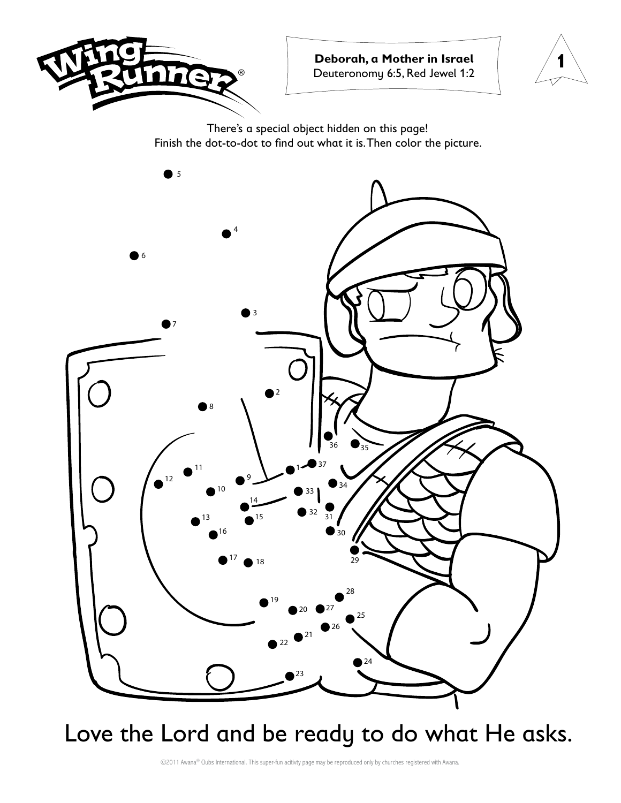



There's a special object hidden on this page! Finish the dot-to-dot to find out what it is. Then color the picture.



Love the Lord and be ready to do what He asks.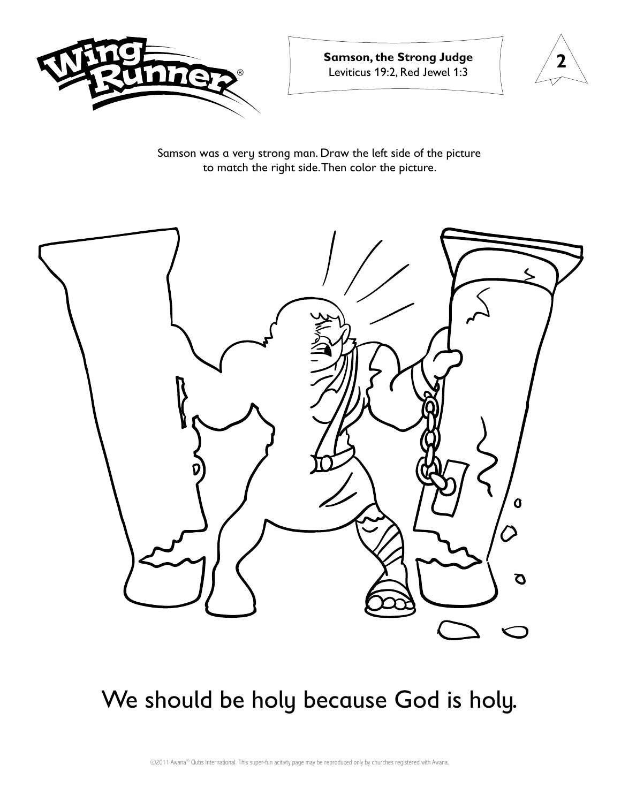



Samson was a very strong man. Draw the left side of the picture to match the right side. Then color the picture.



### We should be holy because God is holy.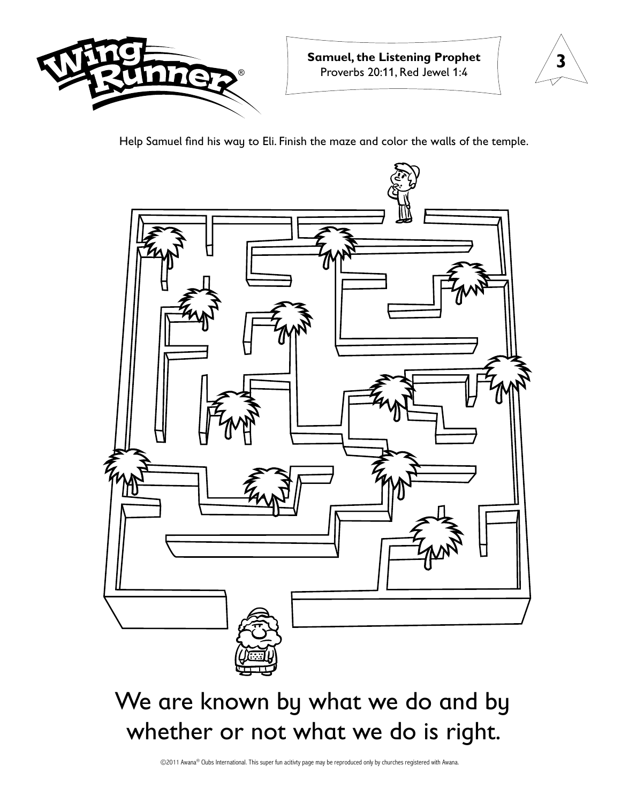



Help Samuel find his way to Eli. Finish the maze and color the walls of the temple.



## We are known by what we do and by whether or not what we do is right.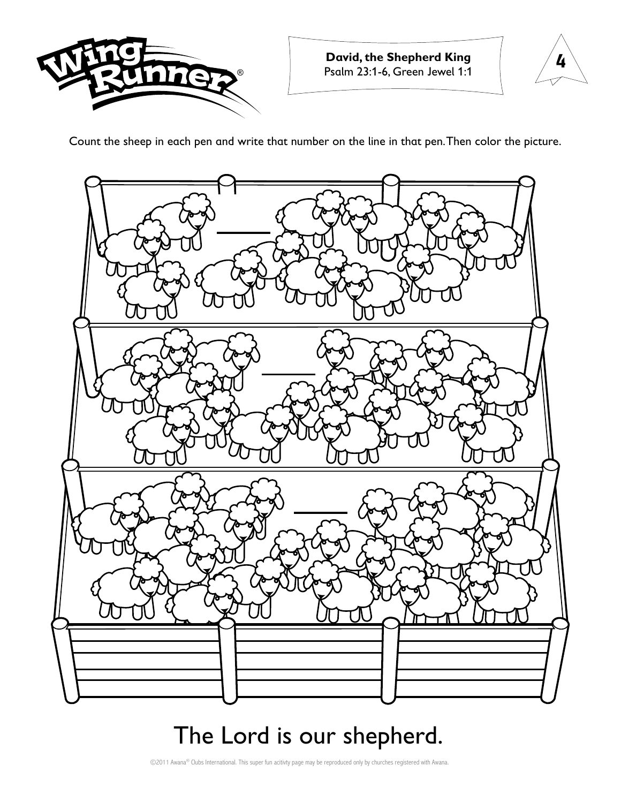



Count the sheep in each pen and write that number on the line in that pen. Then color the picture.



### The Lord is our shepherd.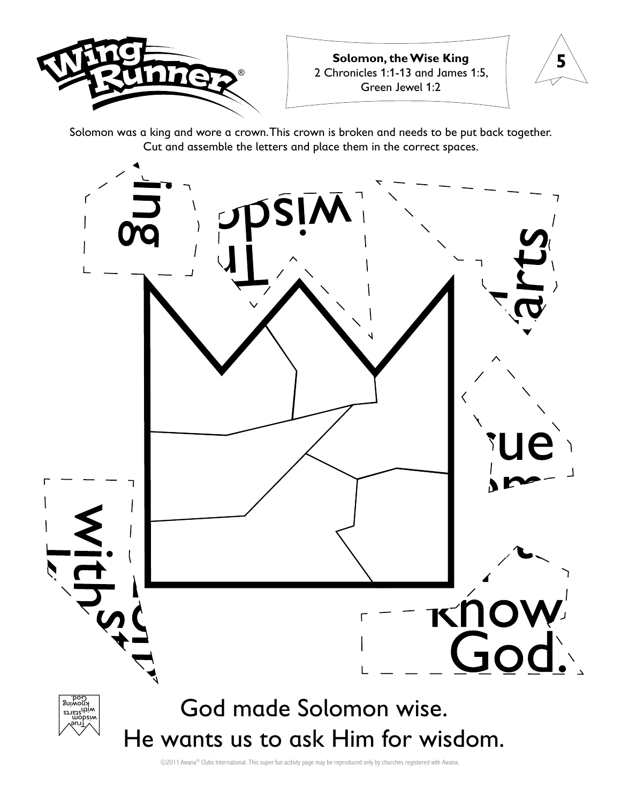



Solomon was a king and wore a crown. This crown is broken and needs to be put back together. Cut and assemble the letters and place them in the correct spaces.

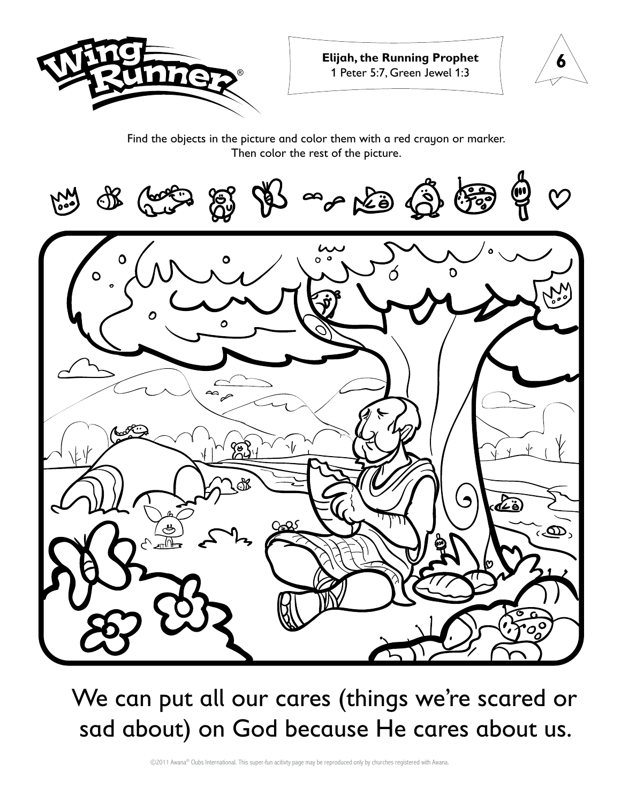



#### Find the objects in the picture and color them with a red crayon or marker. Then color the rest of the picture.



We can put all our cares (things we're scared or sad about) on God because He cares about us.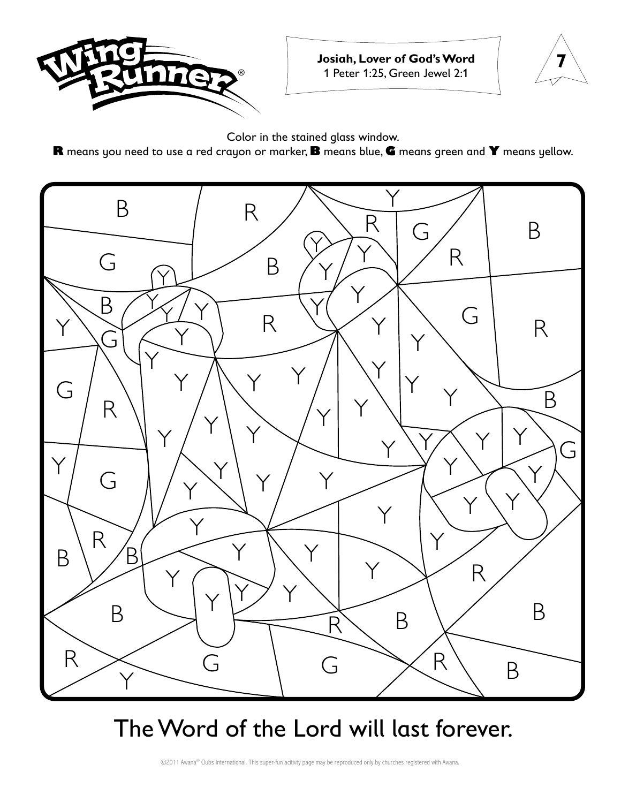

**Josiah, Lover of God's Word** 1 Peter 1:25, Green Jewel 2:1



Color in the stained glass window.

**R** means you need to use a red crayon or marker, **B** means blue, **G** means green and **Y** means yellow.



### The Word of the Lord will last forever.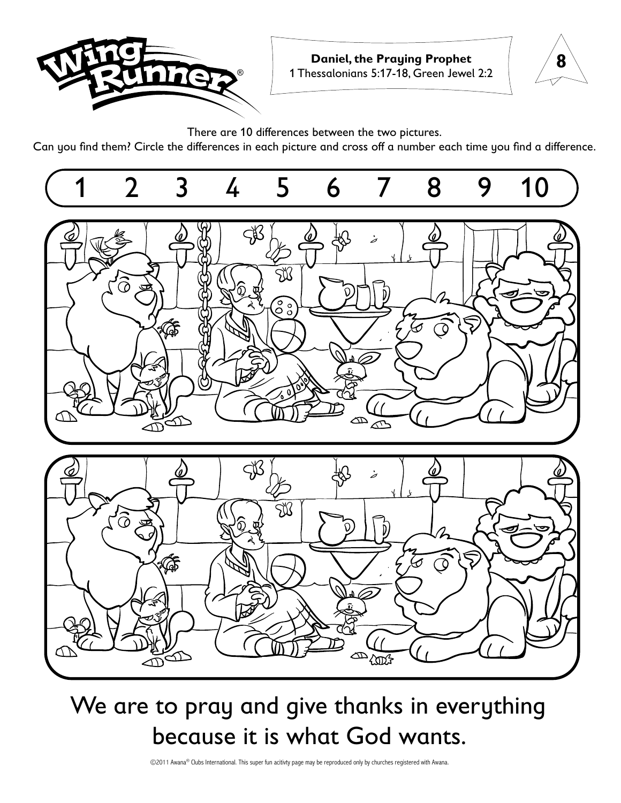



There are 10 differences between the two pictures.

Can you find them? Circle the differences in each picture and cross off a number each time you find a difference.



## We are to pray and give thanks in everything because it is what God wants.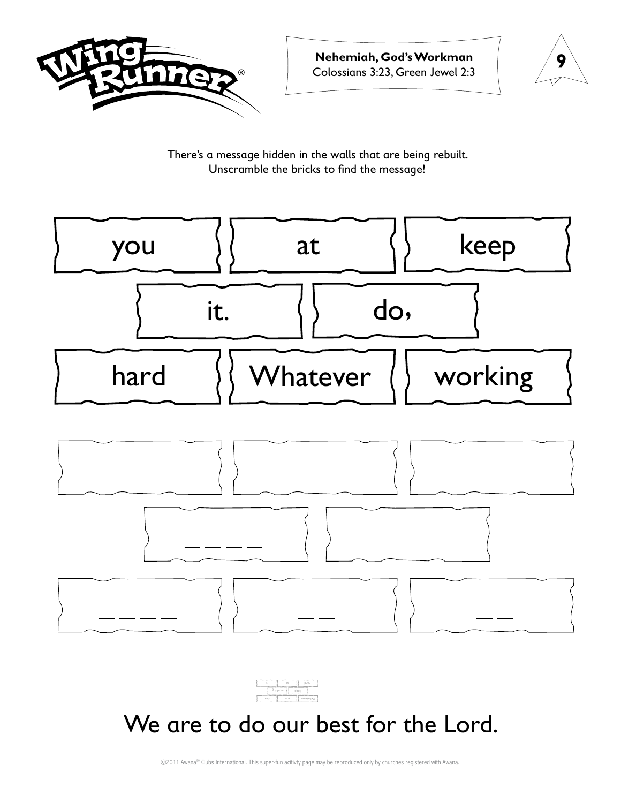



There's a message hidden in the walls that are being rebuilt. Unscramble the bricks to find the message!





#### We are to do our best for the Lord.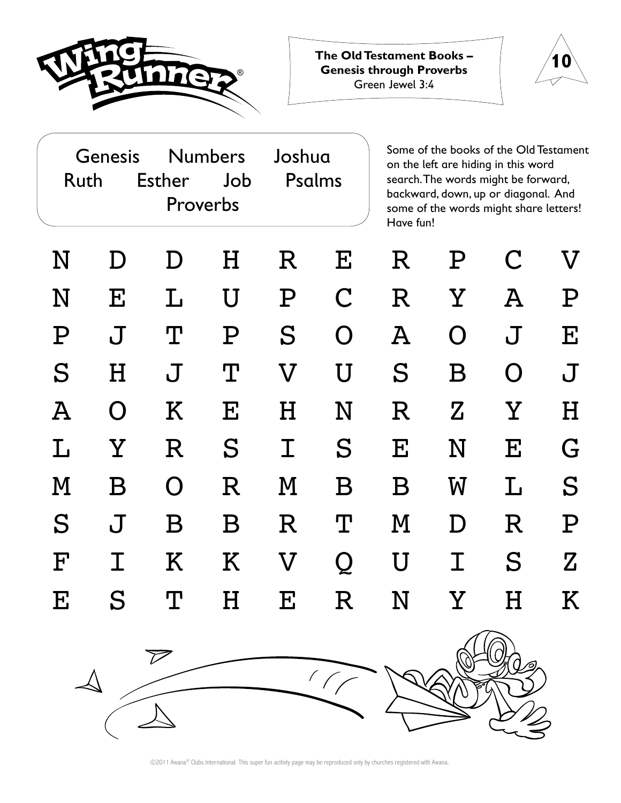

**10 The Old Testament Books – Genesis through Proverbs** Green Jewel 3:4



| Genesis<br>Ruth    |                           | <b>Esther</b> | <b>Numbers</b><br>Job<br>Proverbs |                           | Joshua<br>Psalms |                 | Some of the books of the Old Testament<br>on the left are hiding in this word<br>search. The words might be forward,<br>backward, down, up or diagonal. And<br>some of the words might share letters!<br>Have fun! |                           |                           |  |
|--------------------|---------------------------|---------------|-----------------------------------|---------------------------|------------------|-----------------|--------------------------------------------------------------------------------------------------------------------------------------------------------------------------------------------------------------------|---------------------------|---------------------------|--|
| N                  | D                         | D             | Η                                 | $\rm R$                   | ${\bf E}$        | R               | ${\bf P}$                                                                                                                                                                                                          | $\mathbf C$               | $\bm{\nabla}$             |  |
| N                  | $\boldsymbol{\mathrm{E}}$ | L             | U                                 | ${\bf P}$                 | $\mathbf C$      | $\mathbf R$     | $\rm Y$                                                                                                                                                                                                            | $\boldsymbol{\mathrm{A}}$ | ${\bf P}$                 |  |
| ${\rm P}$          | $\bf J$                   | $\mathbf T$   | ${\rm P}$                         | S                         | $\Omega$         | $\mathbf{A}$    | O                                                                                                                                                                                                                  | $\bf J$                   | $\mathbf E$               |  |
| $\mathbf S$        | $\boldsymbol{\mathrm{H}}$ | $\bf J$       | $\mathbf T$                       | $\boldsymbol{\nabla}$     | U                | $\mathbf S$     | $\, {\bf B} \,$                                                                                                                                                                                                    | $\Omega$                  | $\bf J$                   |  |
| $\bm{A}$           | $\Omega$                  | K             | $\mathbf{E}$                      | $\boldsymbol{\mathrm{H}}$ | N                | R               | $\mathbf Z$                                                                                                                                                                                                        | $\rm \overline{Y}$        | $\boldsymbol{\mathrm{H}}$ |  |
| Τ.                 | $\rm \overline{Y}$        | $\mathbf R$   | S                                 | $\bm{\mathrm{I}}$         | S                | $\mathbf{E}$    | N                                                                                                                                                                                                                  | $\mathbf{E}$              | G                         |  |
| M                  | $\, {\bf B} \,$           | $\Omega$      | $\mathbf R$                       | $\bf M$                   | Β                | $\, {\bf B} \,$ | $\boldsymbol{\mathrm{W}}$                                                                                                                                                                                          | L                         | S                         |  |
| $\mathbf S$        | $\bf J$                   | Β             | Β                                 | $\mathbf R$               | $\mathbf T$      | M               | D                                                                                                                                                                                                                  | $\mathbf R$               | ${\bf P}$                 |  |
| $\mathbf{F}% _{0}$ | I                         | K             | K                                 | $\boldsymbol{\nabla}$     | Q                | U               | $\bm{\mathrm{T}}$                                                                                                                                                                                                  | S                         | Z                         |  |
| ${\bf E}$          | S                         | $\mathbf T$   | H                                 | ${\bf E}$                 | R                | N               | $\rm Y$                                                                                                                                                                                                            | H                         | Κ                         |  |



<sup>©2011</sup> Awana® Clubs International. This super fun acitivty page may be reproduced only by churches registered with Awana.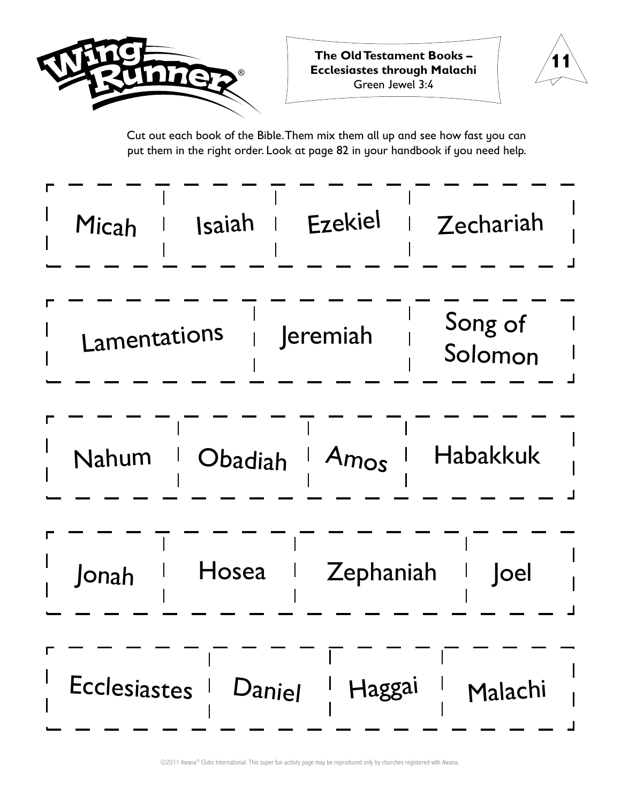



Cut out each book of the Bible. Them mix them all up and see how fast you can put them in the right order. Look at page 82 in your handbook if you need help.

| Micah                                      | Isaiah                | Ezekiel  | Zechariah          |  |  |  |  |
|--------------------------------------------|-----------------------|----------|--------------------|--|--|--|--|
| Lamentations                               |                       | Jeremiah | Song of<br>Solomon |  |  |  |  |
| Nahum                                      | Obadiah               | Amos     | <b>Habakkuk</b>    |  |  |  |  |
| Hosea<br>Zephaniah<br><b>Joel</b><br>Jonah |                       |          |                    |  |  |  |  |
|                                            | Ecclesiastes   Daniel | Haggai   | Malachi            |  |  |  |  |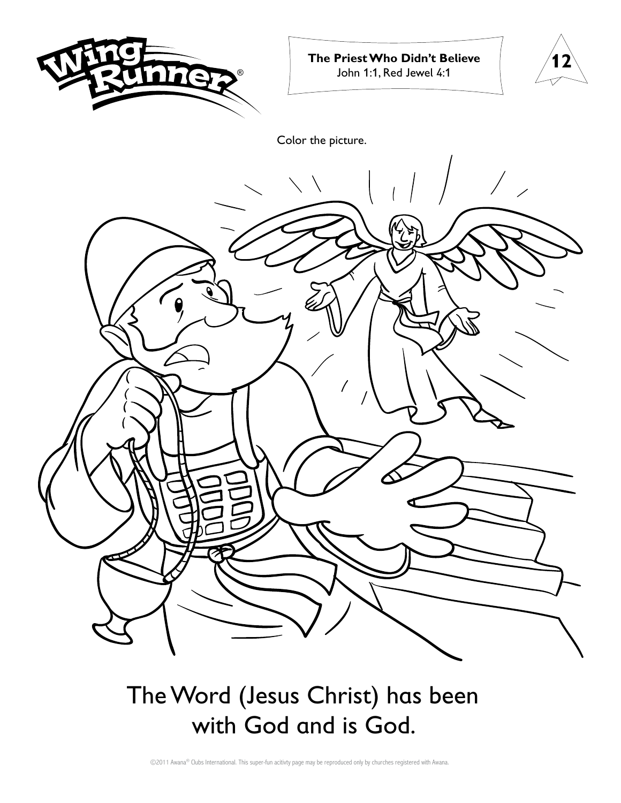

**The Priest Who Didn't Believe** John 1:1, Red Jewel 4:1



Color the picture.



The Word (Jesus Christ) has been with God and is God.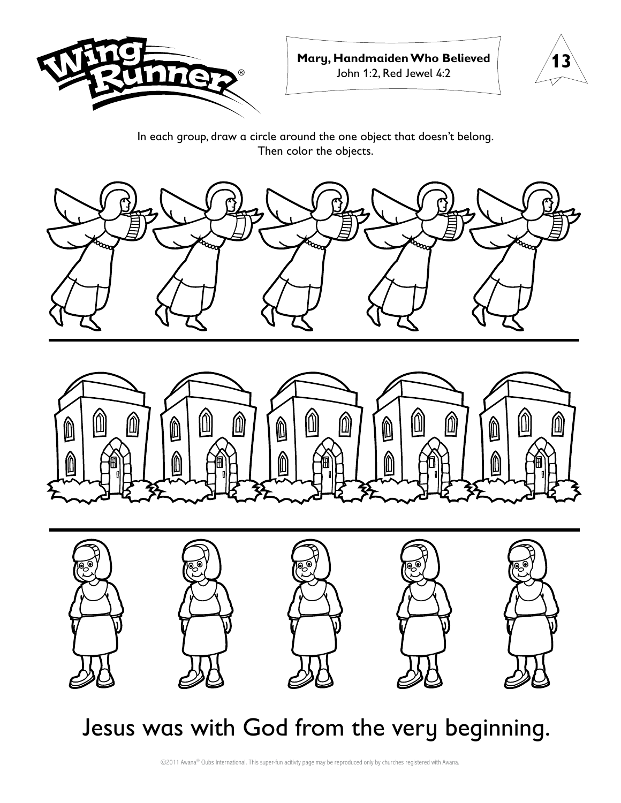



In each group, draw a circle around the one object that doesn't belong. Then color the objects.







## Jesus was with God from the very beginning.